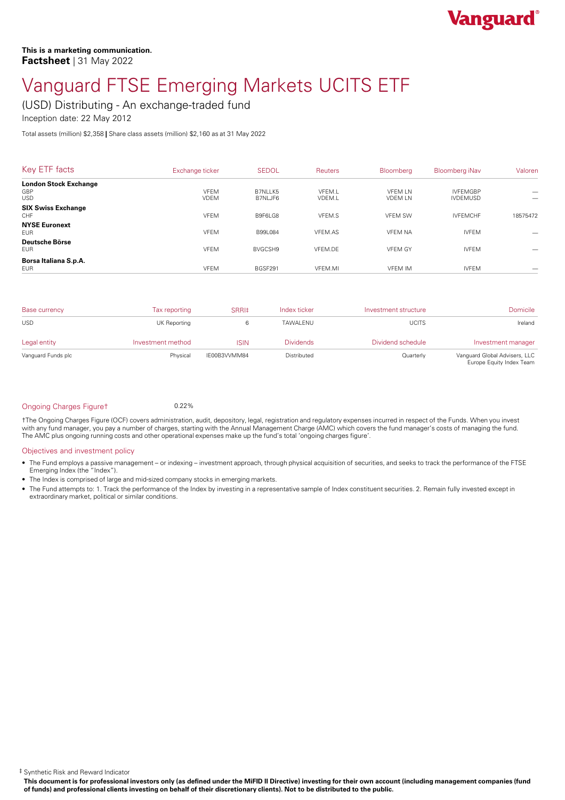

# Vanguard FTSE Emerging Markets UCITS ETF

(USD) Distributing - An exchange-traded fund

Inception date: 22 May 2012

Total assets (million) \$2,358 **|** Share class assets (million) \$2,160 as at 31 May 2022

| Key ETF facts                                  | Exchange ticker            | <b>SEDOL</b>       | <b>Reuters</b>   | <b>Bloomberg</b>                 | Bloomberg iNav                     | Valoren  |
|------------------------------------------------|----------------------------|--------------------|------------------|----------------------------------|------------------------------------|----------|
| <b>London Stock Exchange</b><br>GBP            | <b>VFEM</b>                | B7NLLK5            | VFEM.L           | <b>VFFMIN</b>                    | <b>IVFFMGBP</b>                    |          |
| <b>USD</b><br><b>SIX Swiss Exchange</b><br>CHF | <b>VDEM</b><br><b>VFEM</b> | B7NLJF6<br>B9F6LG8 | VDEM.L<br>VFEM.S | <b>VDEM LN</b><br><b>VFEM SW</b> | <b>IVDEMUSD</b><br><b>IVFEMCHF</b> | 18575472 |
| <b>NYSE Euronext</b><br><b>EUR</b>             | <b>VFEM</b>                | B99L084            | VFEM.AS          | <b>VFEM NA</b>                   | <b>IVFEM</b>                       |          |
| Deutsche Börse<br><b>EUR</b>                   | <b>VFEM</b>                | BVGCSH9            | VFEM.DE          | <b>VFEM GY</b>                   | <b>IVFEM</b>                       |          |
| Borsa Italiana S.p.A.<br><b>EUR</b>            | <b>VFEM</b>                | BGSF291            | VFEM.MI          | <b>VFEM IM</b>                   | <b>IVFEM</b>                       |          |

| <b>Base currency</b> | Tax reporting     | SRRI‡        | Index ticker     | Investment structure | Domicile                                                  |
|----------------------|-------------------|--------------|------------------|----------------------|-----------------------------------------------------------|
| <b>USD</b>           | UK Reporting      |              | TAWALENU         | <b>UCITS</b>         | Ireland                                                   |
| Legal entity         | Investment method | <b>ISIN</b>  | <b>Dividends</b> | Dividend schedule    | Investment manager                                        |
| Vanguard Funds plc   | Physical          | IE00B3VVMM84 | Distributed      | Quarterly            | Vanguard Global Advisers, LLC<br>Europe Equity Index Team |

#### Ongoing Charges Figuret 0.22%

†The Ongoing Charges Figure (OCF) covers administration, audit, depository, legal, registration and regulatory expenses incurred in respect of the Funds. When you invest with any fund manager, you pay a number of charges, starting with the Annual Management Charge (AMC) which covers the fund manager's costs of managing the fund. The AMC plus ongoing running costs and other operational expenses make up the fund's total 'ongoing charges figure'.

#### Objectives and investment policy

- The Fund employs a passive management orindexing investment approach, through physical acquisition of securities, and seeks to track the performance of the FTSE Emerging Index (the "Index").
- The Index is comprised of large and mid-sized company stocks in emerging markets.
- The Fund attempts to: 1. Track the performance of the Index by investing in a representative sample of Index constituent securities. 2. Remain fully invested except in extraordinary market, political or similar conditions.

‡ Synthetic Risk and Reward Indicator

This document is for professional investors only (as defined under the MiFID II Directive) investing for their own account (including management companies (fund of funds) and professional clients investing on behalf of their discretionary clients). Not to be distributed to the public.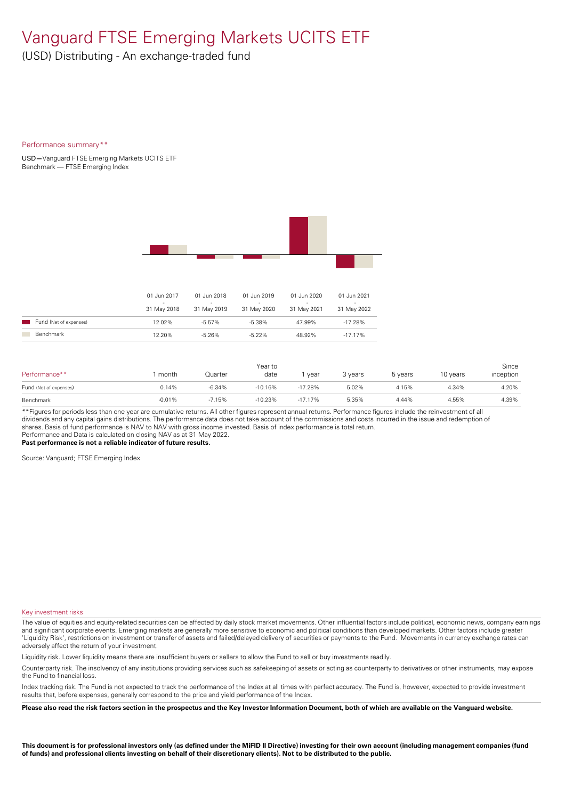### Vanguard FTSE Emerging Markets UCITS ETF

(USD) Distributing - An exchange-traded fund

#### Performance summary\*\*

USD**—**Vanguard FTSE Emerging Markets UCITS ETF Benchmark — FTSE Emerging Index



|                        | 01 Jun 2017      | 01 Jun 2018 | 01 Jun 2019      | 01 Jun 2020 | 01 Jun 2021 |
|------------------------|------------------|-------------|------------------|-------------|-------------|
|                        | -<br>31 May 2018 | 31 May 2019 | -<br>31 May 2020 | 31 May 2021 | 31 May 2022 |
| Fund (Net of expenses) | 12.02%           | $-5.57\%$   | $-5.38\%$        | 47.99%      | $-17.28\%$  |
| Benchmark              | 12.20%           | $-5.26%$    | $-5.22\%$        | 48.92%      | $-17.17\%$  |

| Performance**          | month    | Quarter  | Year to<br>date | vear      | 3 vears | 5 years | 10 years | Since<br>inception |
|------------------------|----------|----------|-----------------|-----------|---------|---------|----------|--------------------|
| Fund (Net of expenses) | 0.14%    | $-6.34%$ | $-10.16%$       | $-17.28%$ | 5.02%   | 4.15%   | 4.34%    | 4.20%              |
| Benchmark              | $-0.01%$ | $-7.15%$ | $-10.23%$       | $-17.17%$ | 5.35%   | 4.44%   | 4.55%    | 4.39%              |

\*\*Figures for periods less than one year are cumulative returns. All other figures represent annual returns. Performance figures include the reinvestment of all dividends and any capital gains distributions. The performance data does not take account of the commissions and costs incurred in the issue and redemption of shares. Basis of fund performance is NAV to NAV with gross income invested. Basis of index performance is total return. Performance and Data is calculated on closing NAV as at 31 May 2022.

**Past performance is not a reliable indicator of future results.**

Source: Vanguard; FTSE Emerging Index

#### Key investment risks

The value of equities and equity-related securities can be affected by daily stock market movements. Other influential factors include political, economic news, company earnings and significant corporate events. Emerging markets are generally more sensitive to economic and political conditions than developed markets. Other factors include greater 'Liquidity Risk', restrictions on investment or transfer of assets and failed/delayed delivery of securities or payments to the Fund. Movements in currency exchange rates can adversely affect the return of your investment.

Liquidity risk. Lower liquidity means there are insufficient buyers or sellers to allow the Fund to sell or buy investments readily.

Counterparty risk. The insolvency ofany institutions providing services such as safekeeping of assets or acting as counterparty to derivatives or other instruments, may expose the Fund to financial loss.

Index tracking risk.The Fund is not expected to track the performance of the Index at all times with perfect accuracy. The Fund is, however, expected to provide investment results that, before expenses, generally correspond to the price and yield performance of the Index.

Please also read the risk factors section in the prospectus and the Key Investor Information Document, both of which are available on the Vanguard website.

This document is for professional investors only (as defined under the MiFID II Directive) investing for their own account (including management companies (fund of funds) and professional clients investing on behalf of their discretionary clients). Not to be distributed to the public.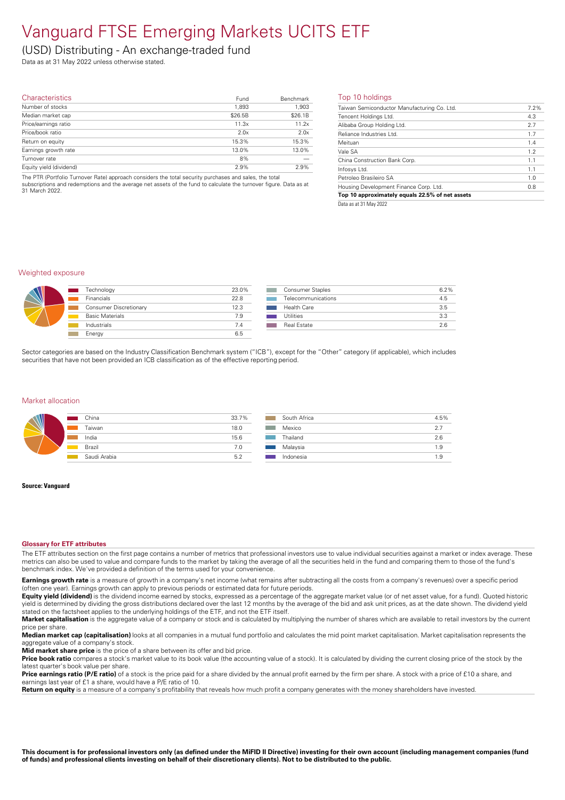## Vanguard FTSE Emerging Markets UCITS ETF

### (USD) Distributing - An exchange-traded fund

Data as at 31 May 2022 unless otherwise stated.

| <b>Characteristics</b>  | Fund    | Benchmark | Top   |
|-------------------------|---------|-----------|-------|
| Number of stocks        | 1,893   | 1,903     | Taiwa |
| Median market cap       | \$26.5B | \$26.1B   | Tenc  |
| Price/earnings ratio    | 11.3x   | 11.2x     | Aliba |
| Price/book ratio        | 2.0x    | 2.0x      | Relia |
| Return on equity        | 15.3%   | 15.3%     | Meit  |
| Earnings growth rate    | 13.0%   | 13.0%     | Vale  |
| Turnover rate           | 8%      |           | China |
| Equity yield (dividend) | 2.9%    | 2.9%      | Infos |

The PTR (Portfolio Turnover Rate) approach considers the total security purchases and sales, the total<br>subscriptions and redemptions and the average net assets of the fund to calculate the turnover figure. Data as at<br>31 Ma

#### Top 10 holdings

| Taiwan Semiconductor Manufacturing Co. Ltd.     | 7.2% |
|-------------------------------------------------|------|
| Tencent Holdings Ltd.                           | 4.3  |
| Alibaba Group Holding Ltd.                      | 2.7  |
| Reliance Industries Ltd.                        | 1.7  |
| Meituan                                         | 1.4  |
| Vale SA                                         | 1.2  |
| China Construction Bank Corp.                   | 1.1  |
| Infosys Ltd.                                    | 1.1  |
| Petroleo Brasileiro SA                          | 1.0  |
| Housing Development Finance Corp. Ltd.          | 0.8  |
| Top 10 approximately equals 22.5% of net assets |      |
|                                                 |      |

Data as at 31 May 2022

#### Weighted exposure

| $\Lambda$ | Technology             | 23.0% | Consumer Staples   | 6.2% |
|-----------|------------------------|-------|--------------------|------|
|           | Financials             | 22.8  | Telecommunications | 4.5  |
|           | Consumer Discretionary | 12.3  | <b>Health Care</b> | 3.5  |
|           | <b>Basic Materials</b> | 7.9   | <b>Utilities</b>   | 3.3  |
|           | Industrials            |       | <b>Real Estate</b> | 2.6  |
|           | Energy                 | 6.5   |                    |      |

Sector categories are based on the Industry Classification Benchmark system ("ICB"), except for the "Other" category (if applicable), which includes securities that have not been provided an ICB classification as of the effective reporting period.

#### Market allocation

|   | China        | 33.7% | South Africa | 4.5%             |
|---|--------------|-------|--------------|------------------|
| W | Taiwan       | 18.0  | Mexico       | 2.7              |
|   | India        | 15.6  | Thailand     | 2.6              |
|   | Brazil       | 7.0   | Malaysia     | $\circ$<br>ت. ا  |
|   | Saudi Arabia | 5.2   | Indonesia    | <b>Q</b><br>ن. ا |

#### **Source: Vanguard**

#### **Glossary for ETF attributes**

The ETF attributes section on the first page contains a number of metrics that professional investors use to value individual securities against a market or index average. These metrics can also be used to value and compare funds to the market by taking the average of all the securities held in the fund and comparing them to those of the fund's benchmark index. We've provided a definition of the terms used for your convenience.

**Earnings growth rate** is a measure of growth in a company's net income (what remains after subtracting all the costs from a company's revenues) over a specific period (often one year). Earnings growth can apply to previous periods or estimated data for future periods.

**Equity yield (dividend)** is the dividend income earned by stocks, expressed as a percentage of the aggregate market value (or of net asset value, for a fund). Quoted historic yield is determined by dividing the gross distributions declared over the last 12 months by the average of the bid and ask unit prices, as at the date shown. The dividend yield stated on the factsheet applies to the underlying holdings of the ETF, and not the ETF itself.

Market capitalisation is the aggregate value of a company or stock and is calculated by multiplying the number of shares which are available to retail investors by the current price pershare.

**Median market cap (capitalisation)** looks at all companies in a mutual fund portfolio and calculates the mid point market capitalisation. Market capitalisation represents the aggregate value of a company's stock

**Mid market share price** is the price of a share between its offer and bid price.

**Price book ratio** compares a stock's market value to its book value (the accounting value of a stock). It is calculated by dividing the current closing price of the stock by the latest quarter's book value pershare.

**Price earnings ratio (P/E ratio)** of a stock is the price paid for a share divided by the annual profit earned by the firm per share. A stock with a price of £10 a share, and earnings last year of £1 a share, would have a P/E ratio of 10.

**Return on equity** is a measure of a company's profitability that reveals how much profit a company generates with the money shareholders have invested.